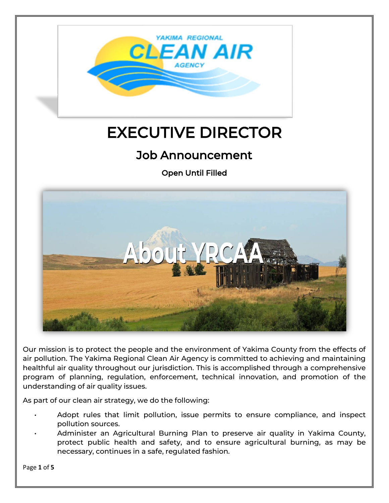

# EXECUTIVE DIRECTOR

# Job Announcement

Open Until Filled



Our mission is to protect the people and the environment of Yakima County from the effects of air pollution. The Yakima Regional Clean Air Agency is committed to achieving and maintaining healthful air quality throughout our jurisdiction. This is accomplished through a comprehensive program of planning, regulation, enforcement, technical innovation, and promotion of the understanding of air quality issues.

As part of our clean air strategy, we do the following:

- Adopt rules that limit pollution, issue permits to ensure compliance, and inspect pollution sources.
- Administer an Agricultural Burning Plan to preserve air quality in Yakima County, protect public health and safety, and to ensure agricultural burning, as may be necessary, continues in a safe, regulated fashion.

Page **1** of **5**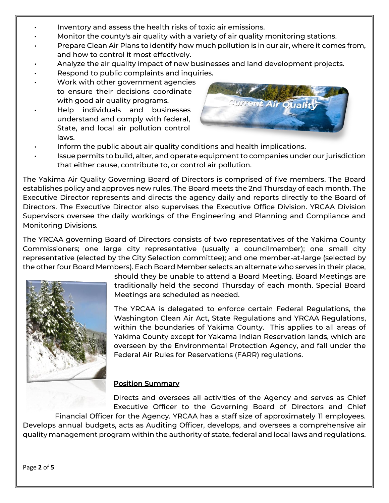- Inventory and assess the health risks of toxic air emissions.
- Monitor the county's air quality with a variety of air quality monitoring stations.
- Prepare Clean Air Plans to identify how much pollution is in our air, where it comes from, and how to control it most effectively.
- Analyze the air quality impact of new businesses and land development projects.
- Respond to public complaints and inquiries.
- Work with other government agencies to ensure their decisions coordinate with good air quality programs.
- Help individuals and businesses understand and comply with federal, State, and local air pollution control laws.



- Inform the public about air quality conditions and health implications.
- Issue permits to build, alter, and operate equipment to companies under our jurisdiction that either cause, contribute to, or control air pollution.

The Yakima Air Quality Governing Board of Directors is comprised of five members. The Board establishes policy and approves new rules. The Board meets the 2nd Thursday of each month. The Executive Director represents and directs the agency daily and reports directly to the Board of Directors. The Executive Director also supervises the Executive Office Division. YRCAA Division Supervisors oversee the daily workings of the Engineering and Planning and Compliance and Monitoring Divisions.

The YRCAA governing Board of Directors consists of two representatives of the Yakima County Commissioners; one large city representative (usually a councilmember); one small city representative (elected by the City Selection committee); and one member-at-large (selected by the other four Board Members). Each Board Member selects an alternate who serves in their place,



should they be unable to attend a Board Meeting. Board Meetings are traditionally held the second Thursday of each month. Special Board Meetings are scheduled as needed.

The YRCAA is delegated to enforce certain Federal Regulations, the Washington Clean Air Act, State Regulations and YRCAA Regulations, within the boundaries of Yakima County. This applies to all areas of Yakima County except for Yakama Indian Reservation lands, which are overseen by the Environmental Protection Agency, and fall under the Federal Air Rules for Reservations (FARR) regulations.

#### Position Summary

Directs and oversees all activities of the Agency and serves as Chief Executive Officer to the Governing Board of Directors and Chief

Financial Officer for the Agency. YRCAA has a staff size of approximately 11 employees. Develops annual budgets, acts as Auditing Officer, develops, and oversees a comprehensive air quality management program within the authority of state, federal and local laws and regulations.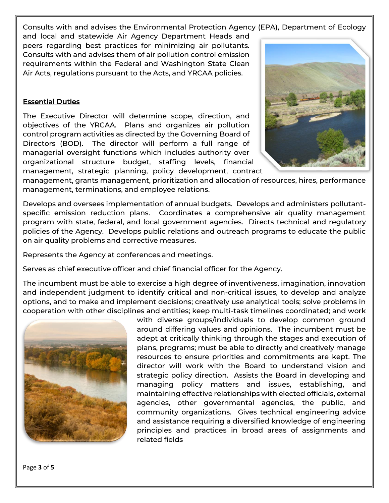Consults with and advises the Environmental Protection Agency (EPA), Department of Ecology

and local and statewide Air Agency Department Heads and peers regarding best practices for minimizing air pollutants. Consults with and advises them of air pollution control emission requirements within the Federal and Washington State Clean Air Acts, regulations pursuant to the Acts, and YRCAA policies.

#### Essential Duties

The Executive Director will determine scope, direction, and objectives of the YRCAA. Plans and organizes air pollution control program activities as directed by the Governing Board of Directors (BOD). The director will perform a full range of managerial oversight functions which includes authority over organizational structure budget, staffing levels, financial management, strategic planning, policy development, contract



management, grants management, prioritization and allocation of resources, hires, performance management, terminations, and employee relations.

Develops and oversees implementation of annual budgets. Develops and administers pollutantspecific emission reduction plans. Coordinates a comprehensive air quality management program with state, federal, and local government agencies. Directs technical and regulatory policies of the Agency. Develops public relations and outreach programs to educate the public on air quality problems and corrective measures.

Represents the Agency at conferences and meetings.

Serves as chief executive officer and chief financial officer for the Agency.

The incumbent must be able to exercise a high degree of inventiveness, imagination, innovation and independent judgment to identify critical and non-critical issues, to develop and analyze options, and to make and implement decisions; creatively use analytical tools; solve problems in cooperation with other disciplines and entities; keep multi-task timelines coordinated; and work



with diverse groups/individuals to develop common ground around differing values and opinions. The incumbent must be adept at critically thinking through the stages and execution of plans, programs; must be able to directly and creatively manage resources to ensure priorities and commitments are kept. The director will work with the Board to understand vision and strategic policy direction. Assists the Board in developing and managing policy matters and issues, establishing, and maintaining effective relationships with elected officials, external agencies, other governmental agencies, the public, and community organizations. Gives technical engineering advice and assistance requiring a diversified knowledge of engineering principles and practices in broad areas of assignments and related fields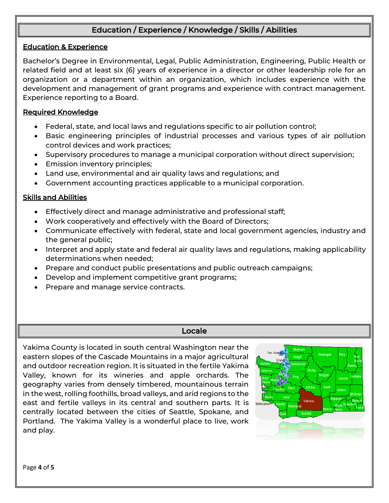# Education / Experience / Knowledge / Skills / Abilities

#### Education & Experience

Bachelor's Degree in Environmental, Legal, Public Administration, Engineering, Public Health or related field and at least six (6) years of experience in a director or other leadership role for an organization or a department within an organization, which includes experience with the development and management of grant programs and experience with contract management. Experience reporting to a Board.

#### Required Knowledge

- Federal, state, and local laws and regulations specific to air pollution control;
- Basic engineering principles of industrial processes and various types of air pollution control devices and work practices;
- Supervisory procedures to manage a municipal corporation without direct supervision;
- Emission inventory principles;
- Land use, environmental and air quality laws and regulations; and
- Government accounting practices applicable to a municipal corporation.

#### Skills and Abilities

- Effectively direct and manage administrative and professional staff;
- Work cooperatively and effectively with the Board of Directors;
- Communicate effectively with federal, state and local government agencies, industry and the general public;
- Interpret and apply state and federal air quality laws and regulations, making applicability determinations when needed;
- Prepare and conduct public presentations and public outreach campaigns;
- Develop and implement competitive grant programs;
- Prepare and manage service contracts.

#### Locale

Yakima County is located in south central Washington near the eastern slopes of the Cascade Mountains in a major agricultural and outdoor recreation region. It is situated in the fertile Yakima Valley, known for its wineries and apple orchards. The geography varies from densely timbered, mountainous terrain in the west, rolling foothills, broad valleys, and arid regions to the east and fertile valleys in its central and southern parts. It is centrally located between the cities of Seattle, Spokane, and Portland. The Yakima Valley is a wonderful place to live, work and play.